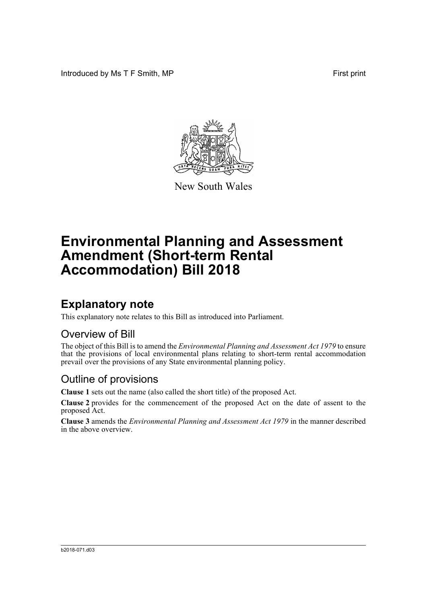Introduced by Ms T F Smith, MP First print



New South Wales

# **Environmental Planning and Assessment Amendment (Short-term Rental Accommodation) Bill 2018**

## **Explanatory note**

This explanatory note relates to this Bill as introduced into Parliament.

#### Overview of Bill

The object of this Bill is to amend the *Environmental Planning and Assessment Act 1979* to ensure that the provisions of local environmental plans relating to short-term rental accommodation prevail over the provisions of any State environmental planning policy.

#### Outline of provisions

**Clause 1** sets out the name (also called the short title) of the proposed Act.

**Clause 2** provides for the commencement of the proposed Act on the date of assent to the proposed Act.

**Clause 3** amends the *Environmental Planning and Assessment Act 1979* in the manner described in the above overview.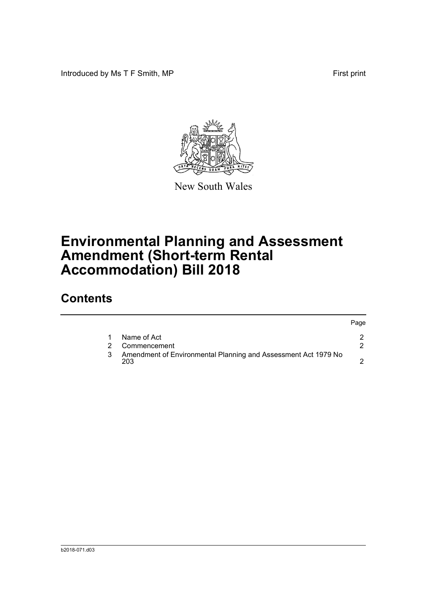Introduced by Ms T F Smith, MP First print



New South Wales

# **Environmental Planning and Assessment Amendment (Short-term Rental Accommodation) Bill 2018**

### **Contents**

|   |                                                                       | Page |
|---|-----------------------------------------------------------------------|------|
|   | Name of Act                                                           |      |
|   | Commencement                                                          |      |
| 3 | Amendment of Environmental Planning and Assessment Act 1979 No<br>203 |      |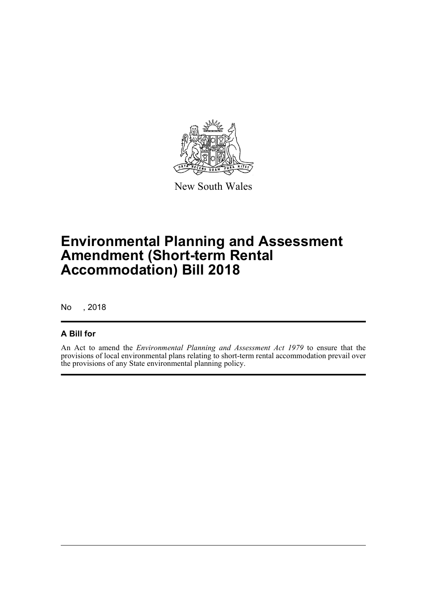

New South Wales

## **Environmental Planning and Assessment Amendment (Short-term Rental Accommodation) Bill 2018**

No , 2018

#### **A Bill for**

An Act to amend the *Environmental Planning and Assessment Act 1979* to ensure that the provisions of local environmental plans relating to short-term rental accommodation prevail over the provisions of any State environmental planning policy.